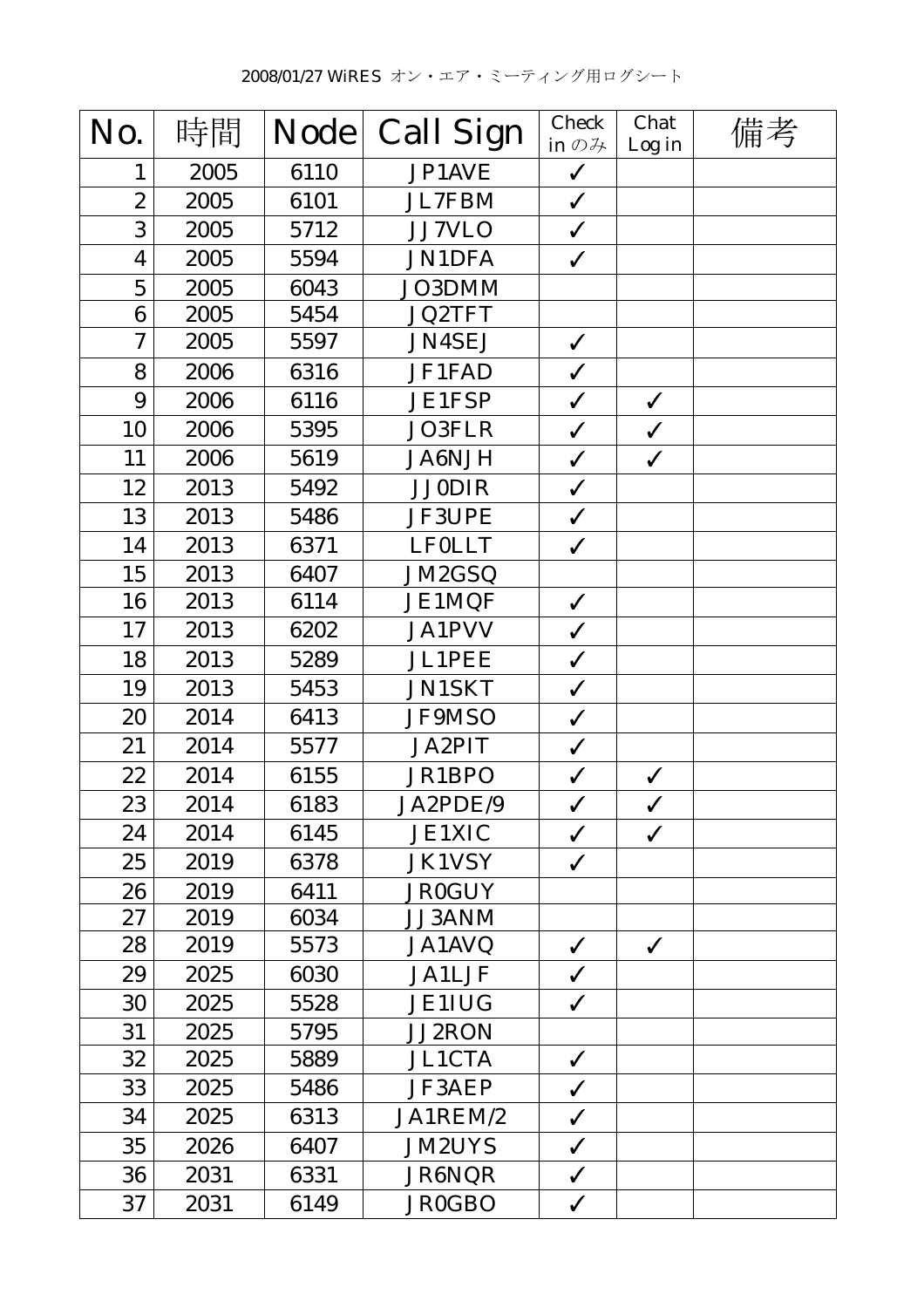| No.              | 時間   | <b>Node</b> | <b>Call Sign</b> | <b>Check</b><br>in $\mathcal{D}$ $\mathcal{H}$ | Chat<br>Log in | 備考 |
|------------------|------|-------------|------------------|------------------------------------------------|----------------|----|
| $\mathbf{1}$     | 2005 | 6110        | JP1AVE           | $\checkmark$                                   |                |    |
| $\boldsymbol{2}$ | 2005 | 6101        | JL7FBM           | $\checkmark$                                   |                |    |
| 3                | 2005 | 5712        | <b>JJ7VLO</b>    | $\checkmark$                                   |                |    |
| 4                | 2005 | 5594        | <b>JN1DFA</b>    | $\checkmark$                                   |                |    |
| $\overline{5}$   | 2005 | 6043        | JO3DMM           |                                                |                |    |
| 6                | 2005 | 5454        | <b>JQ2TFT</b>    |                                                |                |    |
| 7                | 2005 | 5597        | <b>JN4SEJ</b>    | $\checkmark$                                   |                |    |
| 8                | 2006 | 6316        | JF1FAD           | $\checkmark$                                   |                |    |
| 9                | 2006 | 6116        | <b>JE1FSP</b>    | $\checkmark$                                   | $\checkmark$   |    |
| 10               | 2006 | 5395        | <b>JO3FLR</b>    | $\checkmark$                                   | $\checkmark$   |    |
| 11               | 2006 | 5619        | <b>JA6NJH</b>    | $\checkmark$                                   | $\checkmark$   |    |
| 12               | 2013 | 5492        | <b>JJ0DIR</b>    | $\checkmark$                                   |                |    |
| 13               | 2013 | 5486        | <b>JF3UPE</b>    | $\checkmark$                                   |                |    |
| 14               | 2013 | 6371        | <b>LFOLLT</b>    | $\checkmark$                                   |                |    |
| 15               | 2013 | 6407        | JM2GSQ           |                                                |                |    |
| 16               | 2013 | 6114        | <b>JE1MQF</b>    | $\checkmark$                                   |                |    |
| 17               | 2013 | 6202        | <b>JA1PVV</b>    | $\checkmark$                                   |                |    |
| 18               | 2013 | 5289        | <b>JL1PEE</b>    | $\checkmark$                                   |                |    |
| 19               | 2013 | 5453        | <b>JN1SKT</b>    | $\checkmark$                                   |                |    |
| 20               | 2014 | 6413        | JF9MSO           | $\checkmark$                                   |                |    |
| 21               | 2014 | 5577        | <b>JA2PIT</b>    | $\checkmark$                                   |                |    |
| 22               | 2014 | 6155        | JR1BPO           | $\checkmark$                                   | $\checkmark$   |    |
| 23               | 2014 | 6183        | JA2PDE/9         | $\checkmark$                                   | $\checkmark$   |    |
| 24               | 2014 | 6145        | <b>JE1XIC</b>    | $\checkmark$                                   | $\checkmark$   |    |
| 25               | 2019 | 6378        | <b>JK1VSY</b>    | $\checkmark$                                   |                |    |
| 26               | 2019 | 6411        | <b>JR0GUY</b>    |                                                |                |    |
| 27               | 2019 | 6034        | <b>JJ3ANM</b>    |                                                |                |    |
| 28               | 2019 | 5573        | JA1AVQ           | $\checkmark$                                   | $\checkmark$   |    |
| 29               | 2025 | 6030        | <b>JA1LJF</b>    | $\checkmark$                                   |                |    |
| 30               | 2025 | 5528        | <b>JE1IUG</b>    | $\checkmark$                                   |                |    |
| 31               | 2025 | 5795        | <b>JJ2RON</b>    |                                                |                |    |
| 32               | 2025 | 5889        | <b>JL1CTA</b>    | $\checkmark$                                   |                |    |
| 33               | 2025 | 5486        | <b>JF3AEP</b>    | $\checkmark$                                   |                |    |
| 34               | 2025 | 6313        | JA1REM/2         | $\checkmark$                                   |                |    |
| 35               | 2026 | 6407        | <b>JM2UYS</b>    | $\checkmark$                                   |                |    |
| 36               | 2031 | 6331        | JR6NQR           | $\checkmark$                                   |                |    |
| 37               | 2031 | 6149        | <b>JR0GBO</b>    | $\checkmark$                                   |                |    |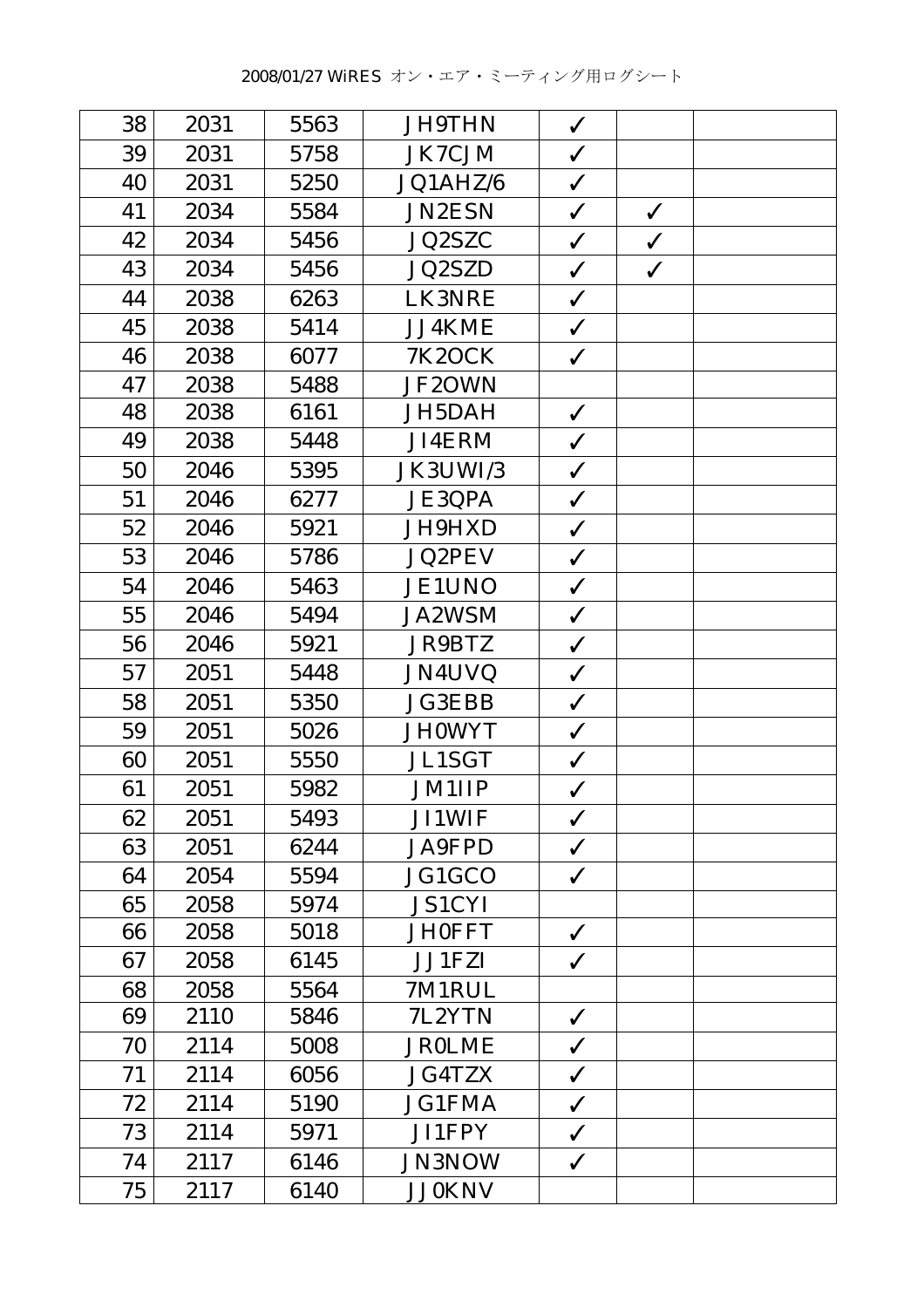| 38 | 2031 | 5563 | <b>JH9THN</b> | $\checkmark$ |              |  |
|----|------|------|---------------|--------------|--------------|--|
| 39 | 2031 | 5758 | <b>JK7CJM</b> | $\checkmark$ |              |  |
| 40 | 2031 | 5250 | JQ1AHZ/6      | $\checkmark$ |              |  |
| 41 | 2034 | 5584 | <b>JN2ESN</b> | $\checkmark$ | $\checkmark$ |  |
| 42 | 2034 | 5456 | JQ2SZC        | $\checkmark$ | $\checkmark$ |  |
| 43 | 2034 | 5456 | <b>JQ2SZD</b> | $\checkmark$ | $\checkmark$ |  |
| 44 | 2038 | 6263 | LK3NRE        | ✓            |              |  |
| 45 | 2038 | 5414 | JJ4KME        | $\checkmark$ |              |  |
| 46 | 2038 | 6077 | <b>7K2OCK</b> | $\checkmark$ |              |  |
| 47 | 2038 | 5488 | JF2OWN        |              |              |  |
| 48 | 2038 | 6161 | JH5DAH        | $\checkmark$ |              |  |
| 49 | 2038 | 5448 | JI4ERM        | $\checkmark$ |              |  |
| 50 | 2046 | 5395 | JK3UWI/3      | $\checkmark$ |              |  |
| 51 | 2046 | 6277 | <b>JE3QPA</b> | $\checkmark$ |              |  |
| 52 | 2046 | 5921 | JH9HXD        | $\checkmark$ |              |  |
| 53 | 2046 | 5786 | <b>JQ2PEV</b> | $\checkmark$ |              |  |
| 54 | 2046 | 5463 | <b>JE1UNO</b> | $\checkmark$ |              |  |
| 55 | 2046 | 5494 | <b>JA2WSM</b> | ✓            |              |  |
| 56 | 2046 | 5921 | JR9BTZ        | $\checkmark$ |              |  |
| 57 | 2051 | 5448 | <b>JN4UVQ</b> | $\checkmark$ |              |  |
| 58 | 2051 | 5350 | <b>JG3EBB</b> | $\checkmark$ |              |  |
| 59 | 2051 | 5026 | <b>JH0WYT</b> | $\checkmark$ |              |  |
| 60 | 2051 | 5550 | <b>JL1SGT</b> | $\checkmark$ |              |  |
| 61 | 2051 | 5982 | <b>JM1IIP</b> | $\checkmark$ |              |  |
| 62 | 2051 | 5493 | <b>JI1WIF</b> | $\checkmark$ |              |  |
| 63 | 2051 | 6244 | <b>JA9FPD</b> | $\checkmark$ |              |  |
| 64 | 2054 | 5594 | JG1GCO        | $\checkmark$ |              |  |
| 65 | 2058 | 5974 | <b>JS1CYI</b> |              |              |  |
| 66 | 2058 | 5018 | <b>JH0FFT</b> | $\checkmark$ |              |  |
| 67 | 2058 | 6145 | <b>JJ1FZI</b> | $\checkmark$ |              |  |
| 68 | 2058 | 5564 | 7M1RUL        |              |              |  |
| 69 | 2110 | 5846 | 7L2YTN        | $\checkmark$ |              |  |
| 70 | 2114 | 5008 | <b>JROLME</b> | $\checkmark$ |              |  |
| 71 | 2114 | 6056 | <b>JG4TZX</b> | $\checkmark$ |              |  |
| 72 | 2114 | 5190 | <b>JG1FMA</b> | $\checkmark$ |              |  |
| 73 | 2114 | 5971 | <b>JI1FPY</b> | $\checkmark$ |              |  |
| 74 | 2117 | 6146 | <b>JN3NOW</b> | $\checkmark$ |              |  |
| 75 | 2117 | 6140 | <b>JJ0KNV</b> |              |              |  |